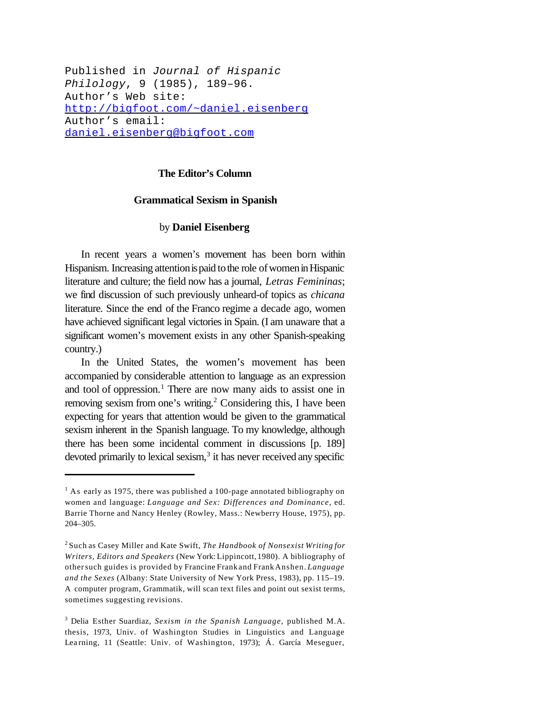Published in *Journal of Hispanic Philology*, 9 (1985), 189–96. Author's Web site: http://bigfoot.com/~daniel.eisenberg Author's email: daniel.eisenberg@bigfoot.com

## **The Editor's Column**

## **Grammatical Sexism in Spanish**

## by **Daniel Eisenberg**

In recent years a women's movement has been born within Hispanism. Increasing attention is paid to the role of women in Hispanic literature and culture; the field now has a journal, *Letras Femininas*; we find discussion of such previously unheard-of topics as *chicana* literature. Since the end of the Franco regime a decade ago, women have achieved significant legal victories in Spain. (I am unaware that a significant women's movement exists in any other Spanish-speaking country.)

In the United States, the women's movement has been accompanied by considerable attention to language as an expression and tool of oppression.<sup>1</sup> There are now many aids to assist one in removing sexism from one's writing.<sup>2</sup> Considering this, I have been expecting for years that attention would be given to the grammatical sexism inherent in the Spanish language. To my knowledge, although there has been some incidental comment in discussions [p. 189] devoted primarily to lexical sexism,<sup>3</sup> it has never received any specific

 $<sup>1</sup>$  As early as 1975, there was published a 100-page annotated bibliography on</sup> women and language: *Language and Sex: Differences and Dominance*, ed. Barrie Thorne and Nancy Henley (Rowley, Mass.: Newberry House, 1975), pp. 204–305.

<sup>2</sup> Such as Casey Miller and Kate Swift, *The Handbook of Nonsexist Writing for Writers, Editors and Speakers* (New York: Lippincott, 1980). A bibliography of othersuch guides is provided by Francine Frank and FrankAnshen. *Language and the Sexes* (Albany: State University of New York Press, 1983), pp. 115–19. A computer program, Grammatik, will scan text files and point out sexist terms, sometimes suggesting revisions.

<sup>3</sup> Delia Esther Suardiaz, *Sexism in the Spanish Language*, published M.A. thesis, 1973, Univ. of Washington Studies in Linguistics and Language Learning, 11 (Seattle: Univ. of Washington, 1973); Á. García Meseguer,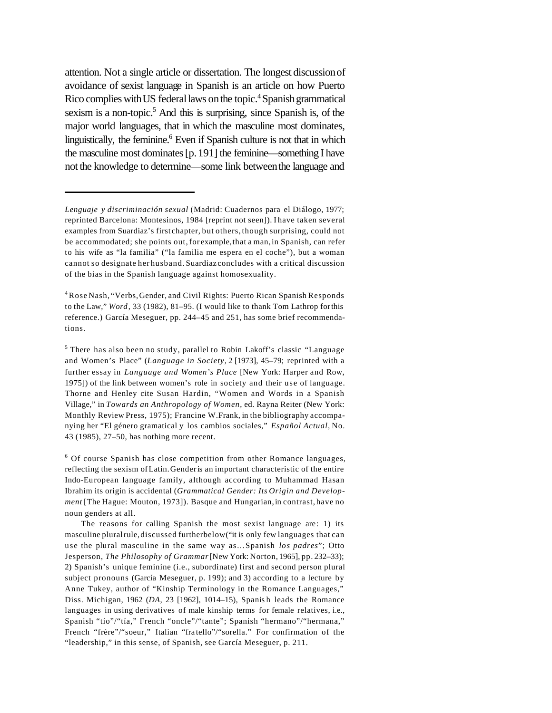attention. Not a single article or dissertation. The longest discussionof avoidance of sexist language in Spanish is an article on how Puerto Rico complies with US federal laws on the topic.<sup>4</sup> Spanish grammatical sexism is a non-topic.<sup>5</sup> And this is surprising, since Spanish is, of the major world languages, that in which the masculine most dominates, linguistically, the feminine.<sup>6</sup> Even if Spanish culture is not that in which the masculine most dominates[p.191] the feminine—something I have not the knowledge to determine—some link betweenthe language and

*Lenguaje y discriminación sexual* (Madrid: Cuadernos para el Diálogo, 1977; reprinted Barcelona: Montesinos, 1984 [reprint not seen]). I have taken several examples from Suardiaz's first chapter, but others, though surprising, could not be accommodated; she points out,for example,that a man,in Spanish, can refer to his wife as "la familia" ("la familia me espera en el coche"), but a woman cannot so designate her husband. Suardiaz concludes with a critical discussion of the bias in the Spanish language against homosexuality.

<sup>&</sup>lt;sup>4</sup> Rose Nash, "Verbs, Gender, and Civil Rights: Puerto Rican Spanish Responds to the Law," *Word*, 33 (1982), 81–95. (I would like to thank Tom Lathrop forthis reference.) García Meseguer, pp. 244–45 and 251, has some brief recommendations.

<sup>&</sup>lt;sup>5</sup> There has also been no study, parallel to Robin Lakoff's classic "Language" and Women's Place" (*Language in Society,* 2 [1973], 45–79; reprinted with a further essay in *Language and Women's Place* [New York: Harper and Row, 1975]) of the link between women's role in society and their use of language. Thorne and Henley cite Susan Hardin, "Women and Words in a Spanish Village," in *Towards an Anthropology of Women*, ed. Rayna Reiter (New York: Monthly Review Press, 1975); Francine W.Frank, in the bibliography accompanying her "El género gramatical y los cambios sociales," *Español Actual,* No. 43 (1985), 27–50, has nothing more recent.

<sup>&</sup>lt;sup>6</sup> Of course Spanish has close competition from other Romance languages, reflecting the sexism ofLatin.Genderis an important characteristic of the entire Indo-European language family, although according to Muhammad Hasan Ibrahim its origin is accidental (*Grammatical Gender: Its Origin and Development* [The Hague: Mouton, 1973]). Basque and Hungarian, in contrast, have no noun genders at all.

The reasons for calling Spanish the most sexist language are: 1) its masculine pluralrule,discussed furtherbelow("it is only few languages that can use the plural masculine in the same way as…Spanish *los padres*"; Otto Jesperson, *The Philosophy of Grammar*[New York: Norton, 1965], pp. 232–33); 2) Spanish's unique feminine (i.e., subordinate) first and second person plural subject pronouns (García Meseguer, p. 199); and 3) according to a lecture by Anne Tukey, author of "Kinship Terminology in the Romance Languages," Diss. Michigan, 1962 (*DA*, 23 [1962], 1014–15), Spanis h leads the Romance languages in using derivatives of male kinship terms for female relatives, i.e., Spanish "tío"/"tía," French "oncle"/"tante"; Spanish "hermano"/"hermana," French "frère"/"soeur," Italian "fra tello"/"sorella." For confirmation of the "leadership," in this sense, of Spanish, see García Meseguer, p. 211.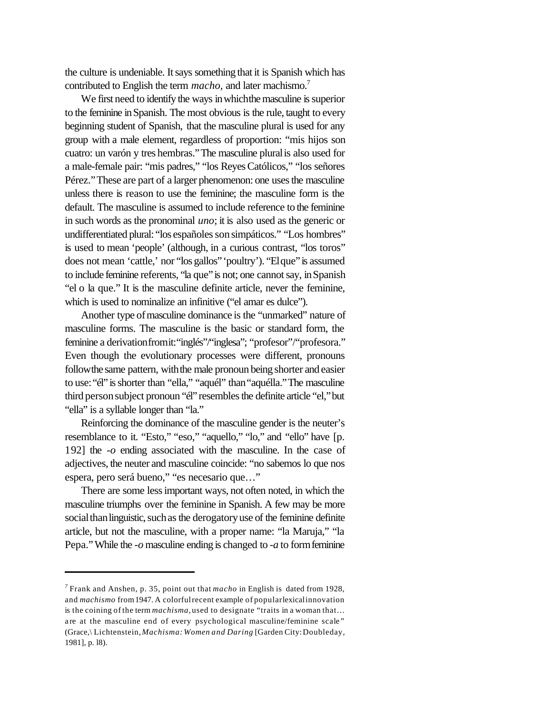the culture is undeniable. It says something that it is Spanish which has contributed to English the term *macho*, and later machismo.<sup>7</sup>

We first need to identify the ways in which the masculine is superior to the feminine inSpanish. The most obvious is the rule, taught to every beginning student of Spanish, that the masculine plural is used for any group with a male element, regardless of proportion: "mis hijos son cuatro: un varón y tres hembras."The masculine pluralis also used for a male-female pair: "mis padres," "los ReyesCatólicos," "los señores Pérez." These are part of a larger phenomenon: one uses the masculine unless there is reason to use the feminine; the masculine form is the default. The masculine is assumed to include reference to the feminine in such words as the pronominal *uno*; it is also used as the generic or undifferentiated plural: "los españoles son simpáticos." "Los hombres" is used to mean 'people' (although, in a curious contrast, "los toros" does not mean 'cattle,' nor "los gallos" 'poultry'). "El que" is assumed to include feminine referents, "la que" is not; one cannot say, in Spanish "el o la que." It is the masculine definite article, never the feminine, which is used to nominalize an infinitive ("el amar es dulce").

Another type of masculine dominance is the "unmarked" nature of masculine forms. The masculine is the basic or standard form, the feminine a derivationfromit:"inglés"/"inglesa"; "profesor"/"profesora." Even though the evolutionary processes were different, pronouns follow the same pattern, with the male pronoun being shorter and easier to use: "él" is shorter than "ella," "aquél" than "aquélla." The masculine third person subject pronoun "él" resembles the definite article "el," but "ella" is a syllable longer than "la."

Reinforcing the dominance of the masculine gender is the neuter's resemblance to it. "Esto," "eso," "aquello," "lo," and "ello" have [p. 192] the *-o* ending associated with the masculine. In the case of adjectives, the neuter and masculine coincide: "no sabemos lo que nos espera, pero será bueno," "es necesario que…"

There are some lessimportant ways, not often noted, in which the masculine triumphs over the feminine in Spanish. A few may be more social than linguistic, such as the derogatory use of the feminine definite article, but not the masculine, with a proper name: "la Maruja," "la Pepa."While the *-o* masculine ending is changed to *-a* to formfeminine

*<sup>7</sup>* Frank and Anshen, p. 35, point out that *macho* in English is dated from 1928, and *machismo* from1947. A colorfulrecent example of popularlexicalinnovation is the coining of the term *machisma,* used to designate "traits in a woman that… are at the masculine end of every psychological masculine/feminine scale" (Grace,\ Lichtenstein,*Machisma: Women and Daring* [Garden City:Doubleday, 1981], p. l8).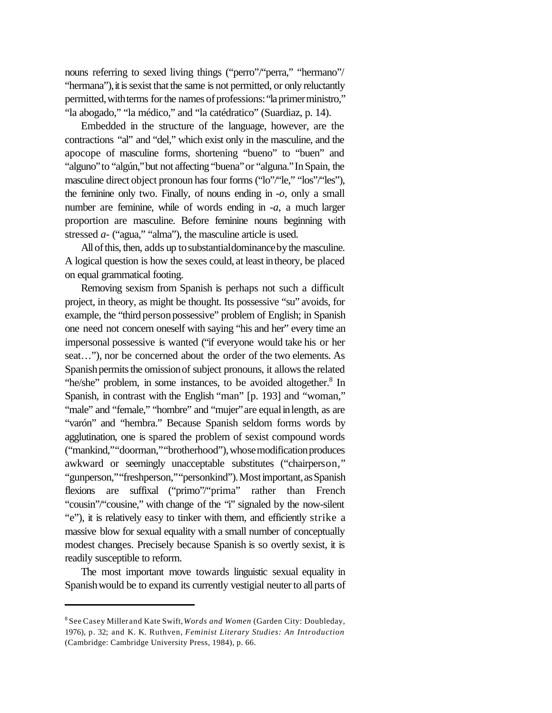nouns referring to sexed living things ("perro"/"perra," "hermano"/ "hermana"), it is sexist that the same is not permitted, or only reluctantly permitted, with terms for the names of professions: "la primer ministro," "la abogado," "la médico," and "la catédratico" (Suardiaz, p. 14).

Embedded in the structure of the language, however, are the contractions "al" and "del," which exist only in the masculine, and the apocope of masculine forms, shortening "bueno" to "buen" and "alguno" to "algún," but not affecting "buena" or "alguna." In Spain, the masculine direct object pronoun has four forms ("lo"/"le," "los"/"les"), the feminine only two. Finally, of nouns ending in *-o*, only a small number are feminine, while of words ending in *-a*, a much larger proportion are masculine. Before feminine nouns beginning with stressed *a-* ("agua," "alma"), the masculine article is used.

All of this, then, adds up to substantial dominance by the masculine. A logical question is how the sexes could, at least intheory, be placed on equal grammatical footing.

Removing sexism from Spanish is perhaps not such a difficult project, in theory, as might be thought. Its possessive "su" avoids, for example, the "third person possessive" problem of English; in Spanish one need not concern oneself with saying "his and her" every time an impersonal possessive is wanted ("if everyone would take his or her seat…"), nor be concerned about the order of the two elements. As Spanish permits the omission of subject pronouns, it allows the related "he/she" problem, in some instances, to be avoided altogether.<sup>8</sup> In Spanish, in contrast with the English "man" [p. 193] and "woman," "male" and "female," "hombre" and "mujer" are equal in length, as are "varón" and "hembra." Because Spanish seldom forms words by agglutination, one is spared the problem of sexist compound words ("mankind,""doorman,""brotherhood"),whose modification produces awkward or seemingly unacceptable substitutes ("chairperson," "gunperson,""freshperson,""personkind").Mostimportant, as Spanish flexions are suffixal ("primo"/"prima" rather than French "cousin"/"cousine," with change of the "i" signaled by the now-silent "e"), it is relatively easy to tinker with them, and efficiently strike a massive blow for sexual equality with a small number of conceptually modest changes. Precisely because Spanish is so overtly sexist, it is readily susceptible to reform.

The most important move towards linguistic sexual equality in Spanish would be to expand its currently vestigial neuter to all parts of

<sup>8</sup> See Casey Miller and Kate Swift,*Words and Women* (Garden City: Doubleday, 1976), p. 32; and K. K. Ruthven, *Feminist Literary Studies: An Introduction* (Cambridge: Cambridge University Press, 1984), p. 66.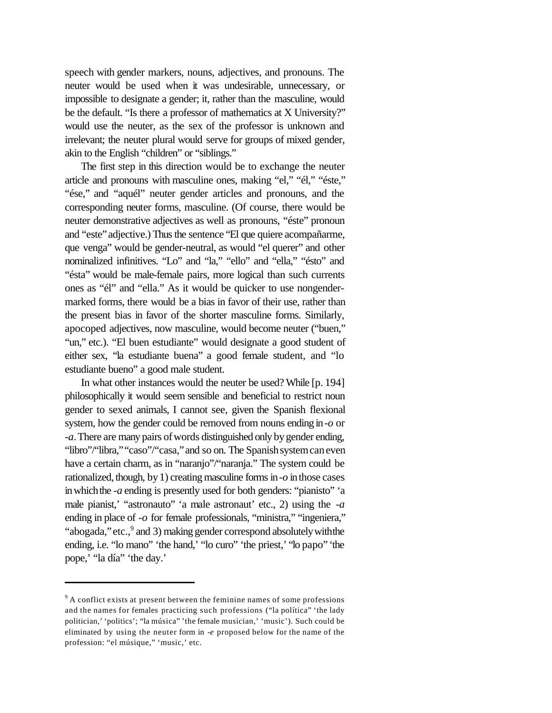speech with gender markers, nouns, adjectives, and pronouns. The neuter would be used when it was undesirable, unnecessary, or impossible to designate a gender; it, rather than the masculine, would be the default. "Is there a professor of mathematics at X University?" would use the neuter, as the sex of the professor is unknown and irrelevant; the neuter plural would serve for groups of mixed gender, akin to the English "children" or "siblings."

The first step in this direction would be to exchange the neuter article and pronouns with masculine ones, making "el," "él," "éste," "ése," and "aquél" neuter gender articles and pronouns, and the corresponding neuter forms, masculine. (Of course, there would be neuter demonstrative adjectives as well as pronouns, "éste" pronoun and "este" adjective.) Thus the sentence "El que quiere acompañarme, que venga" would be gender-neutral, as would "el querer" and other nominalized infinitives. "Lo" and "la," "ello" and "ella," "ésto" and "ésta" would be male-female pairs, more logical than such currents ones as "él" and "ella." As it would be quicker to use nongendermarked forms, there would be a bias in favor of their use, rather than the present bias in favor of the shorter masculine forms. Similarly, apocoped adjectives, now masculine, would become neuter ("buen," "un," etc.). "El buen estudiante" would designate a good student of either sex, "la estudiante buena" a good female student, and "lo estudiante bueno" a good male student.

In what other instances would the neuter be used? While [p. 194] philosophically it would seem sensible and beneficial to restrict noun gender to sexed animals, I cannot see, given the Spanish flexional system, how the gender could be removed from nouns ending in*-o* or -a. There are many pairs of words distinguished only by gender ending, "libro"/"libra," "caso"/"casa," and so on. The Spanish system can even have a certain charm, as in "naranjo"/"naranja." The system could be rationalized, though, by 1) creating masculine forms in  $-o$  in those cases inwhichthe *-a* ending is presently used for both genders: "pianisto" 'a male pianist,' "astronauto" 'a male astronaut' etc., 2) using the *-a* ending in place of *-o* for female professionals, "ministra," "ingeniera," "abogada," etc., <sup>9</sup> and 3) making gender correspond absolutely with the ending, i.e. "lo mano" 'the hand,' "lo curo" 'the priest,' "lo papo" 'the pope,' "la día" 'the day.'

<sup>&</sup>lt;sup>9</sup> A conflict exists at present between the feminine names of some professions and the names for females practicing such professions ("la política" 'the lady politician,' 'politics'; "la música" 'the female musician,' 'music'). Such could be eliminated by using the neuter form in *-e* proposed below for the name of the profession: "el músique," 'music,' etc.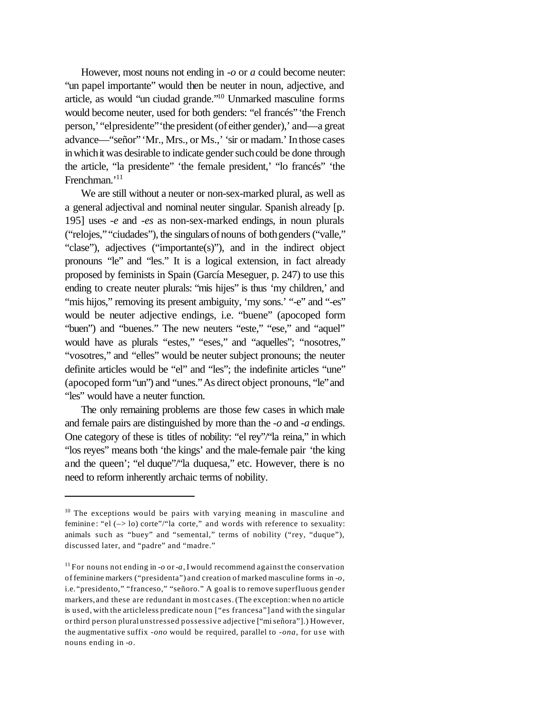However, most nouns not ending in *-o* or *a* could become neuter: "un papel importante" would then be neuter in noun, adjective, and article, as would "un ciudad grande."<sup>10</sup> Unmarked masculine forms would become neuter, used for both genders: "el francés"'the French person,'"elpresidente"'the president(of either gender),' and—a great advance—"señor"'Mr., Mrs., or Ms.,' 'sir or madam.'Inthose cases in which it was desirable to indicate gender such could be done through the article, "la presidente" 'the female president,' "lo francés" 'the Frenchman.'<sup>11</sup>

We are still without a neuter or non-sex-marked plural, as well as a general adjectival and nominal neuter singular. Spanish already [p. 195] uses *-e* and *-es* as non-sex-marked endings, in noun plurals ("relojes," "ciudades"), the singulars of nouns of both genders ("valle," "clase"), adjectives ("importante(s)"), and in the indirect object pronouns "le" and "les." It is a logical extension, in fact already proposed by feminists in Spain (García Meseguer, p. 247) to use this ending to create neuter plurals: "mis hijes" is thus 'my children,' and "mis hijos," removing its present ambiguity, 'my sons.' "-e" and "-es" would be neuter adjective endings, i.e. "buene" (apocoped form "buen") and "buenes." The new neuters "este," "ese," and "aquel" would have as plurals "estes," "eses," and "aquelles"; "nosotres," "vosotres," and "elles" would be neuter subject pronouns; the neuter definite articles would be "el" and "les"; the indefinite articles "une" (apocoped form"un") and "unes."As direct object pronouns, "le"and "les" would have a neuter function.

The only remaining problems are those few cases in which male and female pairs are distinguished by more than the *-o* and *-a* endings. One category of these is titles of nobility: "el rey"/"la reina," in which "los reyes" means both 'the kings' and the male-female pair 'the king and the queen'; "el duque"/"la duquesa," etc. However, there is no need to reform inherently archaic terms of nobility.

 $10$  The exceptions would be pairs with varying meaning in masculine and feminine : "el (–> lo) corte"/"la corte," and words with reference to sexuality: animals such as "buey" and "semental," terms of nobility ("rey, "duque"), discussed later, and "padre" and "madre."

<sup>&</sup>lt;sup>11</sup> For nouns not ending in *-o* or *-a*, I would recommend against the conservation of feminine markers ("presidenta") and creation of marked masculine forms in *-o*, i.e. "presidento," "franceso," "señoro." A goal is to remove superfluous gender markers, and these are redundant in most cases.(The exception:when no article is used, with the articleless predicate noun ["es francesa"] and with the singular or third person plural unstressed possessive adjective ["miseñora"].) However, the augmentative suffix *-ono* would be required, parallel to *-ona*, for use with nouns ending in *-o*.